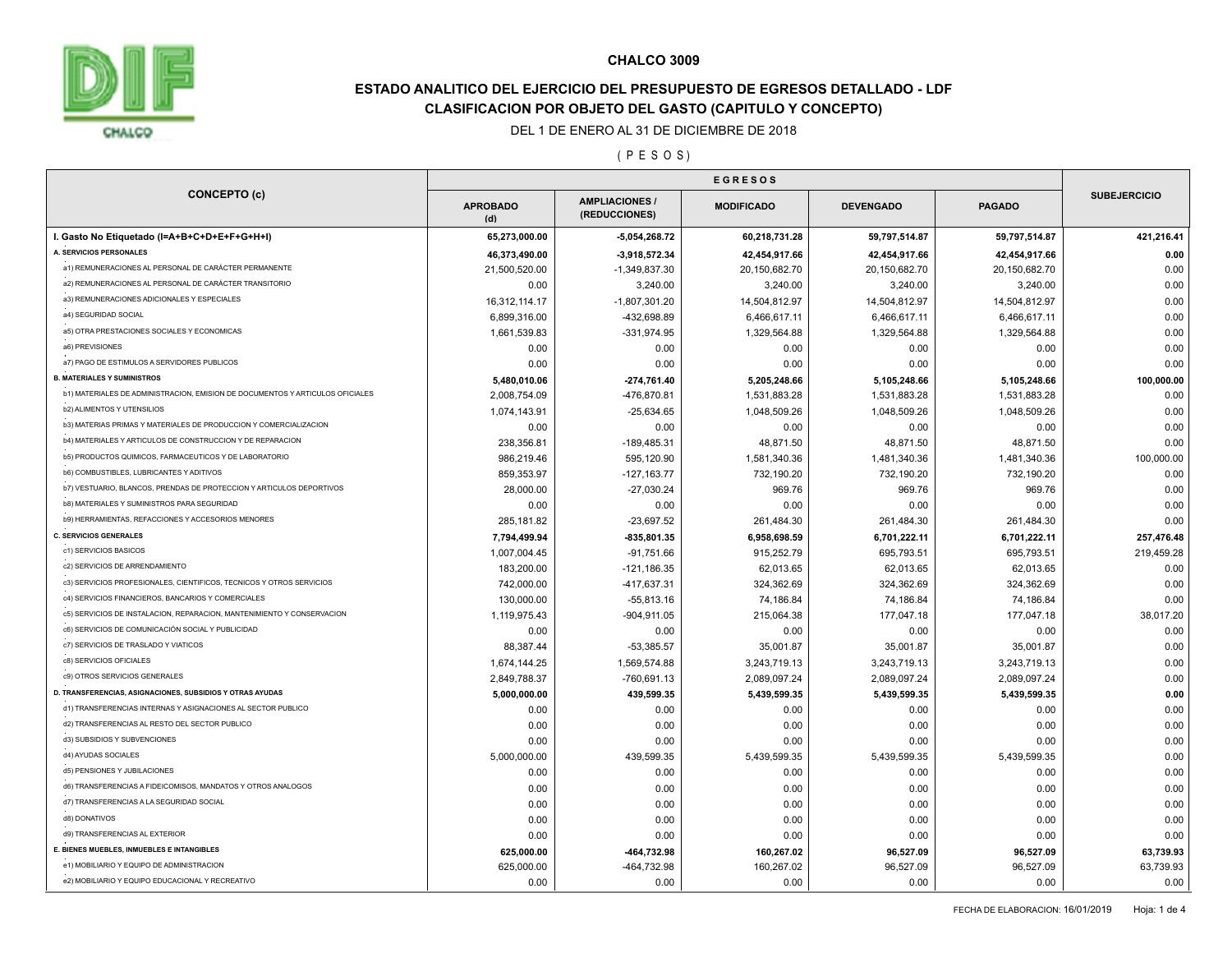

# **ESTADO ANALITICO DEL EJERCICIO DEL PRESUPUESTO DE EGRESOS DETALLADO - LDF CLASIFICACION POR OBJETO DEL GASTO (CAPITULO Y CONCEPTO)**

#### DEL 1 DE ENERO AL 31 DE DICIEMBRE DE 2018

## ( P E S O S )

| <b>CONCEPTO (c)</b>                                                           |                        |                                      |                   |                  |               |                     |
|-------------------------------------------------------------------------------|------------------------|--------------------------------------|-------------------|------------------|---------------|---------------------|
|                                                                               | <b>APROBADO</b><br>(d) | <b>AMPLIACIONES</b><br>(REDUCCIONES) | <b>MODIFICADO</b> | <b>DEVENGADO</b> | <b>PAGADO</b> | <b>SUBEJERCICIO</b> |
| I. Gasto No Etiquetado (I=A+B+C+D+E+F+G+H+I)                                  | 65,273,000.00          | $-5,054,268.72$                      | 60,218,731.28     | 59,797,514.87    | 59,797,514.87 | 421,216.41          |
| A. SERVICIOS PERSONALES                                                       | 46,373,490.00          | -3,918,572.34                        | 42,454,917.66     | 42,454,917.66    | 42,454,917.66 | 0.00                |
| a1) REMUNERACIONES AL PERSONAL DE CARÁCTER PERMANENTE                         | 21,500,520.00          | -1,349,837.30                        | 20,150,682.70     | 20,150,682.70    | 20,150,682.70 | 0.00                |
| a2) REMUNERACIONES AL PERSONAL DE CARÁCTER TRANSITORIO                        | 0.00                   | 3,240.00                             | 3,240.00          | 3,240.00         | 3,240.00      | 0.00                |
| a3) REMUNERACIONES ADICIONALES Y ESPECIALES                                   | 16,312,114.17          | $-1,807,301.20$                      | 14,504,812.97     | 14,504,812.97    | 14,504,812.97 | 0.00                |
| a4) SEGURIDAD SOCIAL                                                          | 6,899,316.00           | -432,698.89                          | 6,466,617.11      | 6,466,617.11     | 6,466,617.11  | 0.00                |
| a5) OTRA PRESTACIONES SOCIALES Y ECONOMICAS                                   | 1,661,539.83           | -331,974.95                          | 1,329,564.88      | 1,329,564.88     | 1,329,564.88  | 0.00                |
| a6) PREVISIONES                                                               | 0.00                   | 0.00                                 | 0.00              | 0.00             | 0.00          | 0.00                |
| a7) PAGO DE ESTIMULOS A SERVIDORES PUBLICOS                                   | 0.00                   | 0.00                                 | 0.00              | 0.00             | 0.00          | 0.00                |
| <b>B. MATERIALES Y SUMINISTROS</b>                                            | 5,480,010.06           | -274,761.40                          | 5,205,248.66      | 5,105,248.66     | 5,105,248.66  | 100,000.00          |
| b1) MATERIALES DE ADMINISTRACION, EMISION DE DOCUMENTOS Y ARTICULOS OFICIALES | 2,008,754.09           | -476,870.81                          | 1,531,883.28      | 1,531,883.28     | 1,531,883.28  | 0.00                |
| <b>b2) ALIMENTOS Y UTENSILIOS</b>                                             | 1,074,143.91           | $-25,634.65$                         | 1,048,509.26      | 1,048,509.26     | 1,048,509.26  | 0.00                |
| b3) MATERIAS PRIMAS Y MATERIALES DE PRODUCCION Y COMERCIALIZACION             | 0.00                   | 0.00                                 | 0.00              | 0.00             | 0.00          | 0.00                |
| b4) MATERIALES Y ARTICULOS DE CONSTRUCCION Y DE REPARACION                    | 238,356.81             | -189,485.31                          | 48,871.50         | 48,871.50        | 48,871.50     | 0.00                |
| b5) PRODUCTOS QUIMICOS, FARMACEUTICOS Y DE LABORATORIO                        | 986,219.46             | 595,120.90                           | 1,581,340.36      | 1,481,340.36     | 1,481,340.36  | 100,000.00          |
| b6) COMBUSTIBLES, LUBRICANTES Y ADITIVOS                                      | 859,353.97             | $-127, 163.77$                       | 732,190.20        | 732,190.20       | 732,190.20    | 0.00                |
| b7) VESTUARIO, BLANCOS, PRENDAS DE PROTECCION Y ARTICULOS DEPORTIVOS          | 28,000.00              | $-27,030.24$                         | 969.76            | 969.76           | 969.76        | 0.00                |
| <b>b8) MATERIALES Y SUMINISTROS PARA SEGURIDAD</b>                            | 0.00                   | 0.00                                 | 0.00              | 0.00             | 0.00          | 0.00                |
| b9) HERRAMIENTAS, REFACCIONES Y ACCESORIOS MENORES                            | 285, 181.82            | $-23,697.52$                         | 261,484.30        | 261,484.30       | 261,484.30    | 0.00                |
| <b>C. SERVICIOS GENERALES</b>                                                 | 7,794,499.94           | -835,801.35                          | 6,958,698.59      | 6,701,222.11     | 6,701,222.11  | 257,476.48          |
| c1) SERVICIOS BASICOS                                                         | 1,007,004.45           | $-91,751.66$                         | 915,252.79        | 695,793.51       | 695,793.51    | 219,459.28          |
| c2) SERVICIOS DE ARRENDAMIENTO                                                | 183,200.00             | $-121,186.35$                        | 62,013.65         | 62,013.65        | 62,013.65     | 0.00                |
| c3) SERVICIOS PROFESIONALES, CIENTIFICOS, TECNICOS Y OTROS SERVICIOS          | 742,000.00             | -417,637.31                          | 324,362.69        | 324,362.69       | 324,362.69    | 0.00                |
| c4) SERVICIOS FINANCIEROS, BANCARIOS Y COMERCIALES                            | 130,000.00             | $-55,813.16$                         | 74,186.84         | 74,186.84        | 74,186.84     | 0.00                |
| c5) SERVICIOS DE INSTALACION, REPARACION, MANTENIMIENTO Y CONSERVACION        | 1,119,975.43           | $-904,911.05$                        | 215,064.38        | 177,047.18       | 177,047.18    | 38,017.20           |
| c6) SERVICIOS DE COMUNICACIÓN SOCIAL Y PUBLICIDAD                             | 0.00                   | 0.00                                 | 0.00              | 0.00             | 0.00          | 0.00                |
| c7) SERVICIOS DE TRASLADO Y VIATICOS                                          | 88,387.44              | $-53,385.57$                         | 35,001.87         | 35,001.87        | 35,001.87     | 0.00                |
| c8) SERVICIOS OFICIALES                                                       | 1,674,144.25           | 1,569,574.88                         | 3,243,719.13      | 3,243,719.13     | 3,243,719.13  | 0.00                |
| c9) OTROS SERVICIOS GENERALES                                                 | 2,849,788.37           | $-760,691.13$                        | 2,089,097.24      | 2,089,097.24     | 2,089,097.24  | 0.00                |
| D. TRANSFERENCIAS, ASIGNACIONES, SUBSIDIOS Y OTRAS AYUDAS                     | 5,000,000.00           | 439,599.35                           | 5,439,599.35      | 5,439,599.35     | 5,439,599.35  | 0.00                |
| d1) TRANSFERENCIAS INTERNAS Y ASIGNACIONES AL SECTOR PUBLICO                  |                        |                                      |                   |                  |               |                     |
| d2) TRANSFERENCIAS AL RESTO DEL SECTOR PUBLICO                                | 0.00                   | 0.00                                 | 0.00              | 0.00             | 0.00          | 0.00                |
| d3) SUBSIDIOS Y SUBVENCIONES                                                  | 0.00                   | 0.00                                 | 0.00              | 0.00             | 0.00          | 0.00                |
| d4) AYUDAS SOCIALES                                                           | 0.00                   | 0.00                                 | 0.00              | 0.00             | 0.00          | 0.00                |
| d5) PENSIONES Y JUBILACIONES                                                  | 5,000,000.00           | 439,599.35                           | 5,439,599.35      | 5,439,599.35     | 5,439,599.35  | 0.00                |
| d6) TRANSFERENCIAS A FIDEICOMISOS, MANDATOS Y OTROS ANALOGOS                  | 0.00                   | 0.00                                 | 0.00              | 0.00             | 0.00          | 0.00                |
| d7) TRANSFERENCIAS A LA SEGURIDAD SOCIAL                                      | 0.00                   | 0.00                                 | 0.00              | 0.00             | 0.00          | 0.00                |
|                                                                               | 0.00                   | 0.00                                 | 0.00              | 0.00             | 0.00          | 0.00                |
| d8) DONATIVOS                                                                 | 0.00                   | 0.00                                 | 0.00              | 0.00             | 0.00          | 0.00                |
| d9) TRANSFERENCIAS AL EXTERIOR                                                | 0.00                   | 0.00                                 | 0.00              | 0.00             | 0.00          | 0.00                |
| E. BIENES MUEBLES, INMUEBLES E INTANGIBLES                                    | 625,000.00             | -464,732.98                          | 160,267.02        | 96,527.09        | 96,527.09     | 63,739.93           |
| e1) MOBILIARIO Y EQUIPO DE ADMINISTRACION                                     | 625,000.00             | -464,732.98                          | 160,267.02        | 96,527.09        | 96,527.09     | 63,739.93           |
| e2) MOBILIARIO Y EQUIPO EDUCACIONAL Y RECREATIVO                              | 0.00                   | 0.00                                 | 0.00              | 0.00             | 0.00          | 0.00                |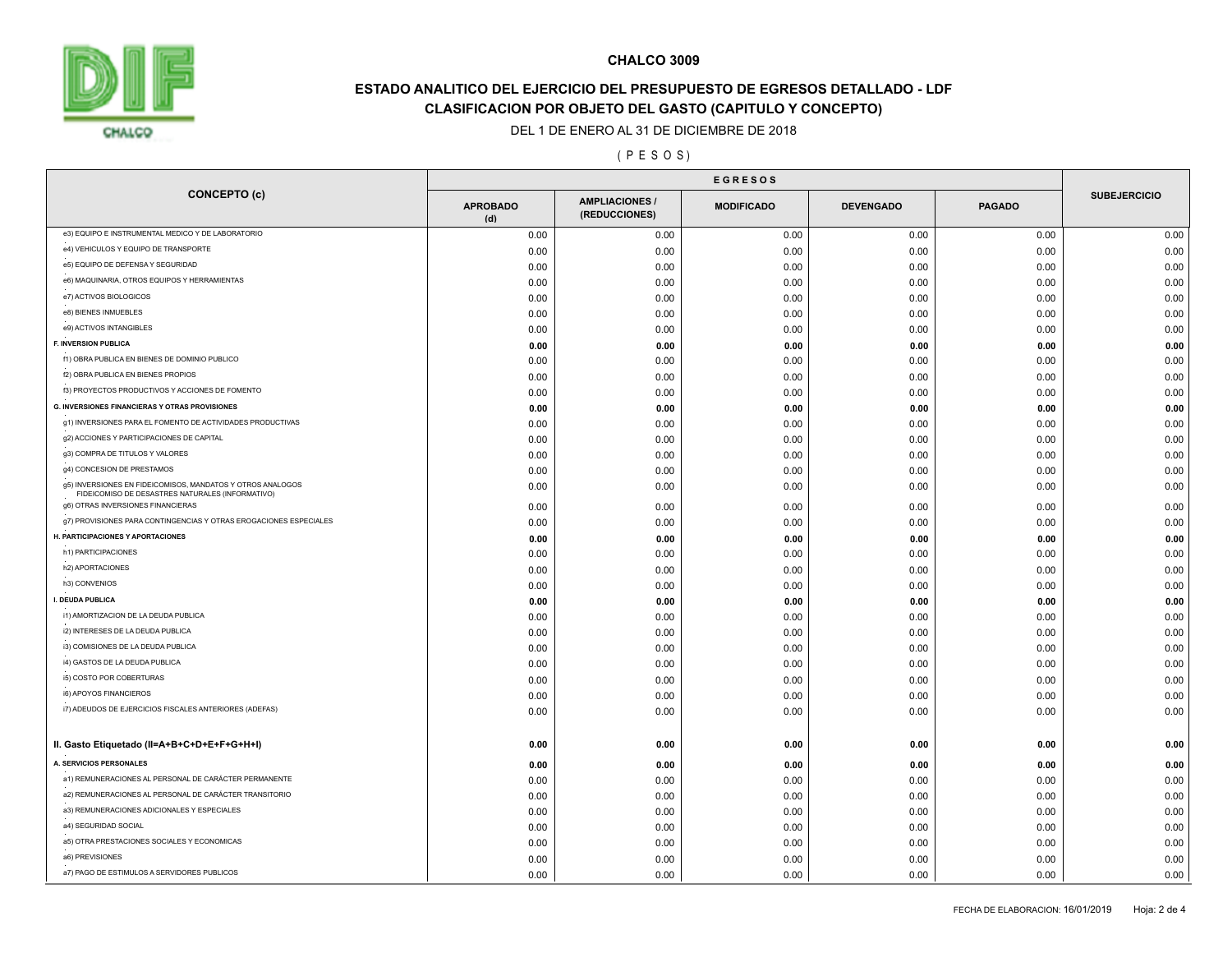

# **ESTADO ANALITICO DEL EJERCICIO DEL PRESUPUESTO DE EGRESOS DETALLADO - LDF CLASIFICACION POR OBJETO DEL GASTO (CAPITULO Y CONCEPTO)**

#### DEL 1 DE ENERO AL 31 DE DICIEMBRE DE 2018

## ( P E S O S )

|                                                                                                                | <b>EGRESOS</b>         |                                      |                   |                  |               |                     |  |
|----------------------------------------------------------------------------------------------------------------|------------------------|--------------------------------------|-------------------|------------------|---------------|---------------------|--|
| <b>CONCEPTO (c)</b>                                                                                            | <b>APROBADO</b><br>(d) | <b>AMPLIACIONES</b><br>(REDUCCIONES) | <b>MODIFICADO</b> | <b>DEVENGADO</b> | <b>PAGADO</b> | <b>SUBEJERCICIO</b> |  |
| e3) EQUIPO E INSTRUMENTAL MEDICO Y DE LABORATORIO                                                              | 0.00                   | 0.00                                 | 0.00              | 0.00             | 0.00          | 0.00                |  |
| e4) VEHICULOS Y EQUIPO DE TRANSPORTE                                                                           | 0.00                   | 0.00                                 | 0.00              | 0.00             | 0.00          | 0.00                |  |
| e5) EQUIPO DE DEFENSA Y SEGURIDAD                                                                              | 0.00                   | 0.00                                 | 0.00              | 0.00             | 0.00          | 0.00                |  |
| e6) MAQUINARIA, OTROS EQUIPOS Y HERRAMIENTAS                                                                   | 0.00                   | 0.00                                 | 0.00              | 0.00             | 0.00          | 0.00                |  |
| e7) ACTIVOS BIOLOGICOS                                                                                         | 0.00                   | 0.00                                 | 0.00              | 0.00             | 0.00          | 0.00                |  |
| e8) BIENES INMUEBLES                                                                                           | 0.00                   | 0.00                                 | 0.00              | 0.00             | 0.00          | 0.00                |  |
| e9) ACTIVOS INTANGIBLES                                                                                        | 0.00                   | 0.00                                 | 0.00              | 0.00             | 0.00          | 0.00                |  |
| F. INVERSION PUBLICA                                                                                           | 0.00                   | 0.00                                 | 0.00              | 0.00             | 0.00          | 0.00                |  |
| f1) OBRA PUBLICA EN BIENES DE DOMINIO PUBLICO                                                                  | 0.00                   | 0.00                                 | 0.00              | 0.00             | 0.00          | 0.00                |  |
| f2) OBRA PUBLICA EN BIENES PROPIOS                                                                             | 0.00                   | 0.00                                 | 0.00              | 0.00             | 0.00          | 0.00                |  |
| f3) PROYECTOS PRODUCTIVOS Y ACCIONES DE FOMENTO                                                                | 0.00                   | 0.00                                 | 0.00              | 0.00             | 0.00          | 0.00                |  |
| <b>G. INVERSIONES FINANCIERAS Y OTRAS PROVISIONES</b>                                                          | 0.00                   | 0.00                                 | 0.00              | 0.00             | 0.00          | 0.00                |  |
| g1) INVERSIONES PARA EL FOMENTO DE ACTIVIDADES PRODUCTIVAS                                                     | 0.00                   | 0.00                                 | 0.00              | 0.00             | 0.00          | 0.00                |  |
| g2) ACCIONES Y PARTICIPACIONES DE CAPITAL                                                                      | 0.00                   | 0.00                                 | 0.00              | 0.00             | 0.00          | 0.00                |  |
| g3) COMPRA DE TITULOS Y VALORES                                                                                | 0.00                   | 0.00                                 | 0.00              | 0.00             | 0.00          | 0.00                |  |
| g4) CONCESION DE PRESTAMOS                                                                                     | 0.00                   | 0.00                                 | 0.00              | 0.00             | 0.00          | 0.00                |  |
| g5) INVERSIONES EN FIDEICOMISOS, MANDATOS Y OTROS ANALOGOS<br>FIDEICOMISO DE DESASTRES NATURALES (INFORMATIVO) | 0.00                   | 0.00                                 | 0.00              | 0.00             | 0.00          | 0.00                |  |
| g6) OTRAS INVERSIONES FINANCIERAS                                                                              | 0.00                   | 0.00                                 | 0.00              | 0.00             | 0.00          | 0.00                |  |
| g7) PROVISIONES PARA CONTINGENCIAS Y OTRAS EROGACIONES ESPECIALES                                              | 0.00                   | 0.00                                 | 0.00              | 0.00             | 0.00          | 0.00                |  |
| H. PARTICIPACIONES Y APORTACIONES                                                                              | 0.00                   | 0.00                                 | 0.00              | 0.00             | 0.00          | 0.00                |  |
| h1) PARTICIPACIONES                                                                                            | 0.00                   | 0.00                                 | 0.00              | 0.00             | 0.00          | 0.00                |  |
| h2) APORTACIONES                                                                                               | 0.00                   | 0.00                                 | 0.00              | 0.00             | 0.00          | 0.00                |  |
| h3) CONVENIOS                                                                                                  | 0.00                   | 0.00                                 | 0.00              | 0.00             | 0.00          | 0.00                |  |
| I. DEUDA PUBLICA                                                                                               | 0.00                   | 0.00                                 | 0.00              | 0.00             | 0.00          | 0.00                |  |
| i1) AMORTIZACION DE LA DEUDA PUBLICA                                                                           | 0.00                   | 0.00                                 | 0.00              | 0.00             | 0.00          | 0.00                |  |
| i2) INTERESES DE LA DEUDA PUBLICA                                                                              | 0.00                   | 0.00                                 | 0.00              | 0.00             | 0.00          | 0.00                |  |
| i3) COMISIONES DE LA DEUDA PUBLICA                                                                             | 0.00                   | 0.00                                 | 0.00              | 0.00             | 0.00          | 0.00                |  |
| i4) GASTOS DE LA DEUDA PUBLICA                                                                                 | 0.00                   | 0.00                                 | 0.00              | 0.00             | 0.00          | 0.00                |  |
| i5) COSTO POR COBERTURAS                                                                                       | 0.00                   | 0.00                                 | 0.00              | 0.00             | 0.00          | 0.00                |  |
| i6) APOYOS FINANCIEROS                                                                                         | 0.00                   | 0.00                                 | 0.00              | 0.00             | 0.00          | 0.00                |  |
| i7) ADEUDOS DE EJERCICIOS FISCALES ANTERIORES (ADEFAS)                                                         | 0.00                   | 0.00                                 | 0.00              | 0.00             | 0.00          | 0.00                |  |
| II. Gasto Etiquetado (II=A+B+C+D+E+F+G+H+I)                                                                    | 0.00                   | 0.00                                 | 0.00              | 0.00             | 0.00          | 0.00                |  |
| A. SERVICIOS PERSONALES                                                                                        | 0.00                   | 0.00                                 | 0.00              | 0.00             | 0.00          | 0.00                |  |
| a1) REMUNERACIONES AL PERSONAL DE CARÁCTER PERMANENTE                                                          | 0.00                   | 0.00                                 | 0.00              | 0.00             | 0.00          | 0.00                |  |
| a2) REMUNERACIONES AL PERSONAL DE CARÁCTER TRANSITORIO                                                         | 0.00                   | 0.00                                 | 0.00              | 0.00             | 0.00          | 0.00                |  |
| a3) REMUNERACIONES ADICIONALES Y ESPECIALES                                                                    | 0.00                   | 0.00                                 | 0.00              | 0.00             | 0.00          | 0.00                |  |
| a4) SEGURIDAD SOCIAL                                                                                           | 0.00                   | 0.00                                 | 0.00              | 0.00             | 0.00          | 0.00                |  |
| a5) OTRA PRESTACIONES SOCIALES Y ECONOMICAS                                                                    | 0.00                   | 0.00                                 | 0.00              | 0.00             | 0.00          | 0.00                |  |
| a6) PREVISIONES                                                                                                | 0.00                   | 0.00                                 | 0.00              | 0.00             | 0.00          | 0.00                |  |
| a7) PAGO DE ESTIMULOS A SERVIDORES PUBLICOS                                                                    | 0.00                   | 0.00                                 | 0.00              | 0.00             | 0.00          | 0.00                |  |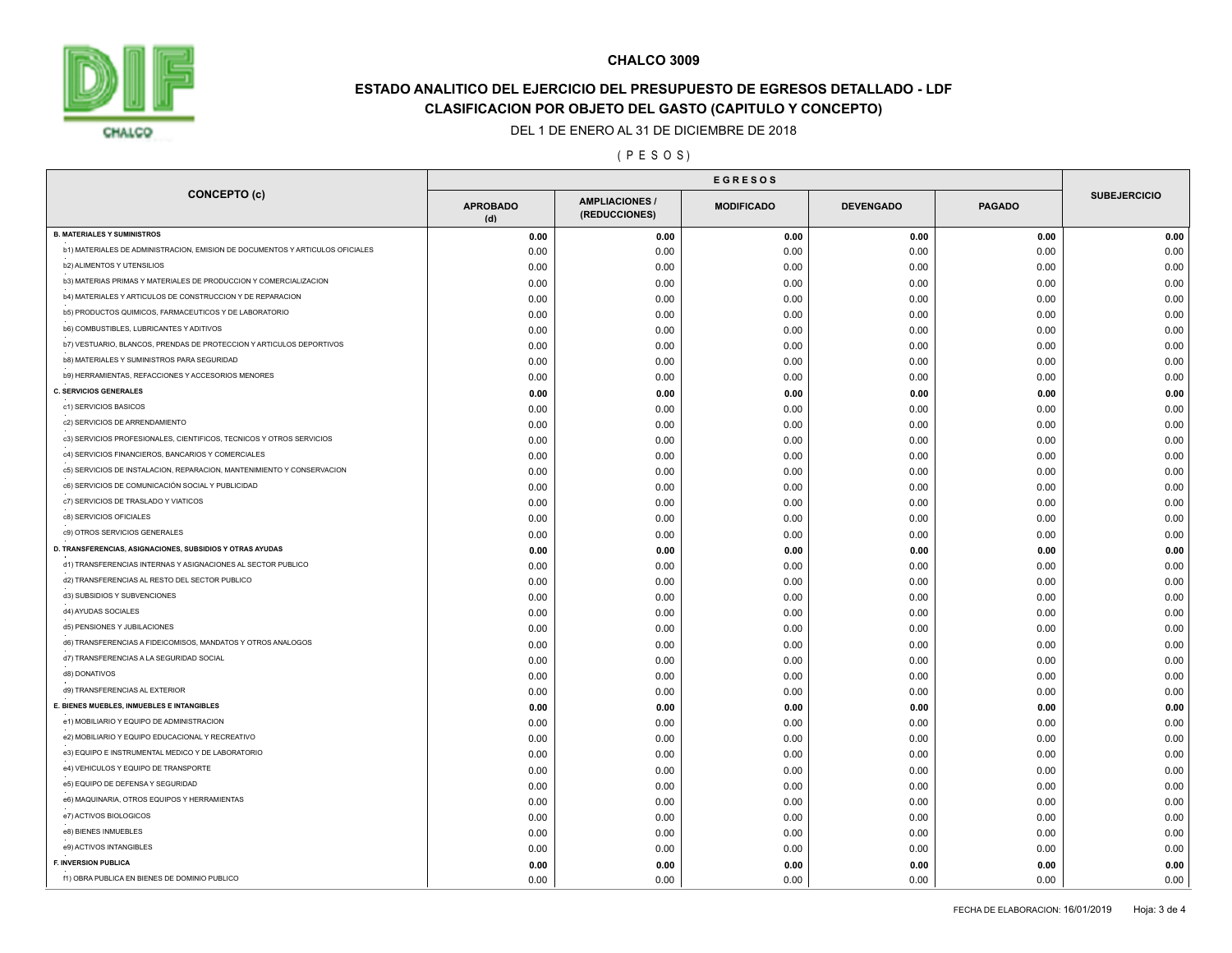

# **ESTADO ANALITICO DEL EJERCICIO DEL PRESUPUESTO DE EGRESOS DETALLADO - LDF CLASIFICACION POR OBJETO DEL GASTO (CAPITULO Y CONCEPTO)**

#### DEL 1 DE ENERO AL 31 DE DICIEMBRE DE 2018

## ( P E S O S )

| <b>CONCEPTO (c)</b>                                                           | <b>APROBADO</b><br>(d) | <b>AMPLIACIONES /</b><br>(REDUCCIONES) | <b>MODIFICADO</b> | <b>DEVENGADO</b> | <b>PAGADO</b> | <b>SUBEJERCICIO</b> |  |
|-------------------------------------------------------------------------------|------------------------|----------------------------------------|-------------------|------------------|---------------|---------------------|--|
| <b>B. MATERIALES Y SUMINISTROS</b>                                            | 0.00                   | 0.00                                   | 0.00              | 0.00             | 0.00          | 0.00                |  |
| b1) MATERIALES DE ADMINISTRACION, EMISION DE DOCUMENTOS Y ARTICULOS OFICIALES | 0.00                   | 0.00                                   | 0.00              | 0.00             | 0.00          | 0.00                |  |
| <b>b2) ALIMENTOS Y UTENSILIOS</b>                                             | 0.00                   | 0.00                                   | 0.00              | 0.00             | 0.00          | 0.00                |  |
| b3) MATERIAS PRIMAS Y MATERIALES DE PRODUCCION Y COMERCIALIZACION             | 0.00                   | 0.00                                   | 0.00              | 0.00             | 0.00          | 0.00                |  |
| b4) MATERIALES Y ARTICULOS DE CONSTRUCCION Y DE REPARACION                    | 0.00                   | 0.00                                   | 0.00              | 0.00             | 0.00          | 0.00                |  |
| b5) PRODUCTOS QUIMICOS, FARMACEUTICOS Y DE LABORATORIO                        | 0.00                   | 0.00                                   | 0.00              | 0.00             | 0.00          | 0.00                |  |
| <b>b6) COMBUSTIBLES, LUBRICANTES Y ADITIVOS</b>                               | 0.00                   | 0.00                                   | 0.00              | 0.00             | 0.00          | 0.00                |  |
| b7) VESTUARIO, BLANCOS, PRENDAS DE PROTECCION Y ARTICULOS DEPORTIVOS          | 0.00                   | 0.00                                   | 0.00              | 0.00             | 0.00          | 0.00                |  |
| <b>b8) MATERIALES Y SUMINISTROS PARA SEGURIDAD</b>                            | 0.00                   | 0.00                                   | 0.00              | 0.00             | 0.00          | 0.00                |  |
| b9) HERRAMIENTAS, REFACCIONES Y ACCESORIOS MENORES                            | 0.00                   | 0.00                                   | 0.00              | 0.00             | 0.00          | 0.00                |  |
| <b>C. SERVICIOS GENERALES</b>                                                 | 0.00                   | 0.00                                   | 0.00              | 0.00             | 0.00          | 0.00                |  |
| c1) SERVICIOS BASICOS                                                         | 0.00                   | 0.00                                   | 0.00              | 0.00             | 0.00          | 0.00                |  |
| c2) SERVICIOS DE ARRENDAMIENTO                                                | 0.00                   | 0.00                                   | 0.00              | 0.00             | 0.00          | 0.00                |  |
| c3) SERVICIOS PROFESIONALES, CIENTIFICOS, TECNICOS Y OTROS SERVICIOS          | 0.00                   | 0.00                                   | 0.00              | 0.00             | 0.00          | 0.00                |  |
| c4) SERVICIOS FINANCIEROS, BANCARIOS Y COMERCIALES                            | 0.00                   | 0.00                                   | 0.00              | 0.00             | 0.00          | 0.00                |  |
| c5) SERVICIOS DE INSTALACION, REPARACION, MANTENIMIENTO Y CONSERVACION        | 0.00                   | 0.00                                   | 0.00              | 0.00             | 0.00          | 0.00                |  |
| c6) SERVICIOS DE COMUNICACIÓN SOCIAL Y PUBLICIDAD                             | 0.00                   | 0.00                                   | 0.00              | 0.00             | 0.00          | 0.00                |  |
| c7) SERVICIOS DE TRASLADO Y VIATICOS                                          | 0.00                   | 0.00                                   | 0.00              | 0.00             | 0.00          | 0.00                |  |
| c8) SERVICIOS OFICIALES                                                       | 0.00                   | 0.00                                   | 0.00              | 0.00             | 0.00          | 0.00                |  |
| c9) OTROS SERVICIOS GENERALES                                                 | 0.00                   | 0.00                                   | 0.00              | 0.00             | 0.00          | 0.00                |  |
| D. TRANSFERENCIAS, ASIGNACIONES, SUBSIDIOS Y OTRAS AYUDAS                     | 0.00                   | 0.00                                   | 0.00              | 0.00             | 0.00          | 0.00                |  |
| d1) TRANSFERENCIAS INTERNAS Y ASIGNACIONES AL SECTOR PUBLICO                  | 0.00                   | 0.00                                   | 0.00              | 0.00             | 0.00          | 0.00                |  |
| d2) TRANSFERENCIAS AL RESTO DEL SECTOR PUBLICO                                | 0.00                   | 0.00                                   | 0.00              | 0.00             | 0.00          | 0.00                |  |
| d3) SUBSIDIOS Y SUBVENCIONES                                                  | 0.00                   | 0.00                                   | 0.00              | 0.00             | 0.00          | 0.00                |  |
| d4) AYUDAS SOCIALES                                                           | 0.00                   | 0.00                                   | 0.00              | 0.00             | 0.00          | 0.00                |  |
| d5) PENSIONES Y JUBILACIONES                                                  | 0.00                   | 0.00                                   | 0.00              | 0.00             | 0.00          | 0.00                |  |
| d6) TRANSFERENCIAS A FIDEICOMISOS, MANDATOS Y OTROS ANALOGOS                  | 0.00                   | 0.00                                   | 0.00              | 0.00             | 0.00          | 0.00                |  |
| d7) TRANSFERENCIAS A LA SEGURIDAD SOCIAL                                      | 0.00                   | 0.00                                   | 0.00              | 0.00             | 0.00          | 0.00                |  |
| d8) DONATIVOS                                                                 | 0.00                   | 0.00                                   | 0.00              | 0.00             | 0.00          | 0.00                |  |
| d9) TRANSFERENCIAS AL EXTERIOR                                                | 0.00                   | 0.00                                   | 0.00              | 0.00             | 0.00          | 0.00                |  |
| E. BIENES MUEBLES, INMUEBLES E INTANGIBLES                                    | 0.00                   | 0.00                                   | 0.00              | 0.00             | 0.00          | 0.00                |  |
| e1) MOBILIARIO Y EQUIPO DE ADMINISTRACION                                     | 0.00                   | 0.00                                   | 0.00              | 0.00             | 0.00          | 0.00                |  |
| e2) MOBILIARIO Y EQUIPO EDUCACIONAL Y RECREATIVO                              | 0.00                   | 0.00                                   | 0.00              | 0.00             | 0.00          | 0.00                |  |
| e3) EQUIPO E INSTRUMENTAL MEDICO Y DE LABORATORIO                             | 0.00                   | 0.00                                   | 0.00              | 0.00             | 0.00          | 0.00                |  |
| e4) VEHICULOS Y EQUIPO DE TRANSPORTE                                          | 0.00                   | 0.00                                   | 0.00              | 0.00             | 0.00          | 0.00                |  |
| e5) EQUIPO DE DEFENSA Y SEGURIDAD                                             | 0.00                   | 0.00                                   | 0.00              | 0.00             | 0.00          | 0.00                |  |
| e6) MAQUINARIA, OTROS EQUIPOS Y HERRAMIENTAS                                  | 0.00                   | 0.00                                   | 0.00              | 0.00             | 0.00          | 0.00                |  |
| e7) ACTIVOS BIOLOGICOS                                                        |                        |                                        |                   |                  |               |                     |  |
| e8) BIENES INMUEBLES                                                          | 0.00                   | 0.00                                   | 0.00              | 0.00             | 0.00          | 0.00                |  |
| e9) ACTIVOS INTANGIBLES                                                       | 0.00                   | 0.00                                   | 0.00              | 0.00             | 0.00          | 0.00                |  |
| <b>F. INVERSION PUBLICA</b>                                                   | 0.00                   | 0.00                                   | 0.00              | 0.00             | 0.00          | 0.00                |  |
| f1) OBRA PUBLICA EN BIENES DE DOMINIO PUBLICO                                 | 0.00                   | 0.00                                   | 0.00              | 0.00             | 0.00          | 0.00                |  |
|                                                                               | 0.00                   | 0.00                                   | 0.00              | 0.00             | 0.00          | 0.00                |  |